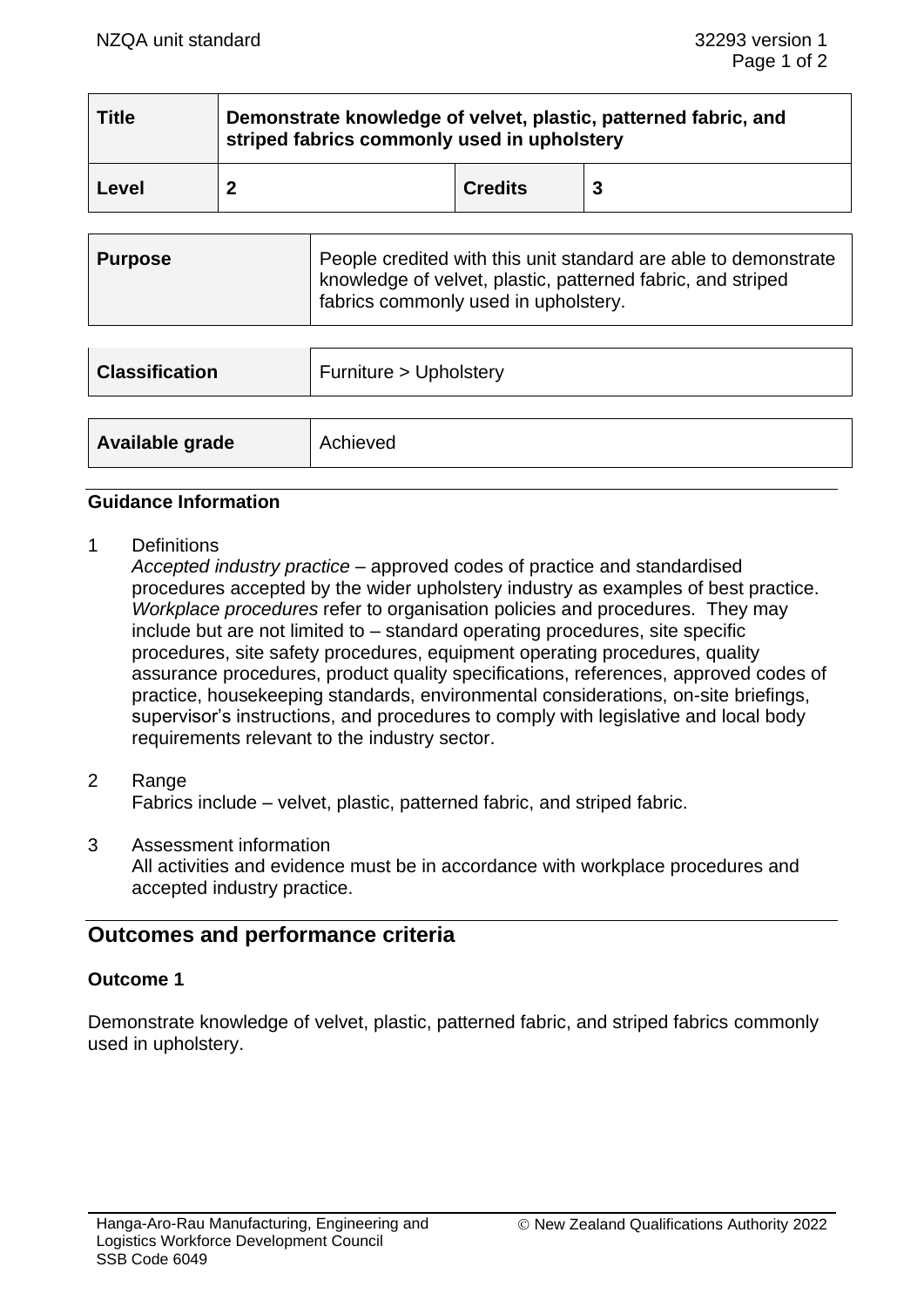| <b>Title</b> | Demonstrate knowledge of velvet, plastic, patterned fabric, and<br>striped fabrics commonly used in upholstery |                |   |  |
|--------------|----------------------------------------------------------------------------------------------------------------|----------------|---|--|
| Level        |                                                                                                                | <b>Credits</b> | 3 |  |

| Purpose | People credited with this unit standard are able to demonstrate<br>  knowledge of velvet, plastic, patterned fabric, and striped<br>fabrics commonly used in upholstery. |
|---------|--------------------------------------------------------------------------------------------------------------------------------------------------------------------------|
|---------|--------------------------------------------------------------------------------------------------------------------------------------------------------------------------|

| <b>Classification</b> | Furniture > Upholstery |  |
|-----------------------|------------------------|--|
|                       |                        |  |
| Available grade       | Achieved               |  |

#### **Guidance Information**

1 Definitions

*Accepted industry practice* – approved codes of practice and standardised procedures accepted by the wider upholstery industry as examples of best practice. *Workplace procedures* refer to organisation policies and procedures. They may include but are not limited to – standard operating procedures, site specific procedures, site safety procedures, equipment operating procedures, quality assurance procedures, product quality specifications, references, approved codes of practice, housekeeping standards, environmental considerations, on-site briefings, supervisor's instructions, and procedures to comply with legislative and local body requirements relevant to the industry sector.

- 2 Range Fabrics include – velvet, plastic, patterned fabric, and striped fabric.
- 3 Assessment information All activities and evidence must be in accordance with workplace procedures and accepted industry practice.

# **Outcomes and performance criteria**

### **Outcome 1**

Demonstrate knowledge of velvet, plastic, patterned fabric, and striped fabrics commonly used in upholstery.